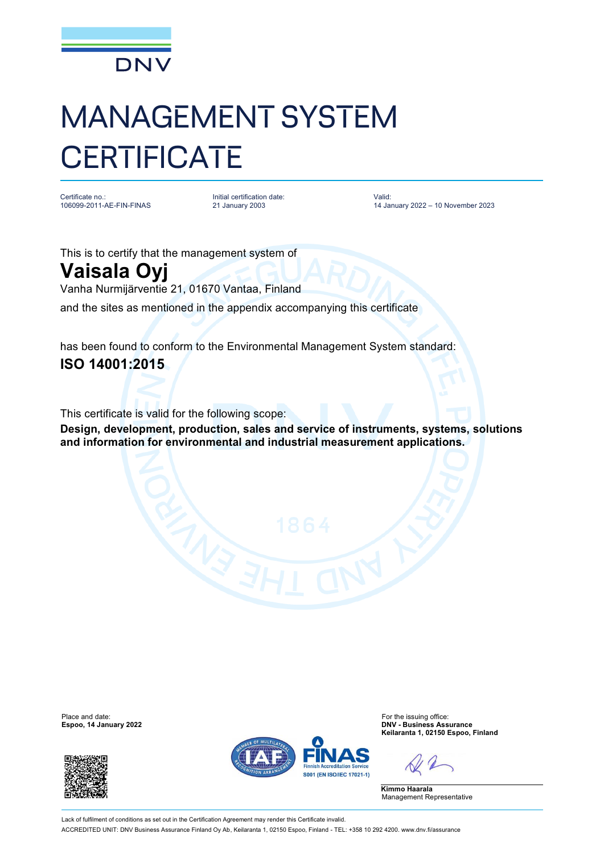

## MANAGEMENT SYSTEM **CERTIFICATE**

Certificate no.: 106099-2011-AE-FIN-FINAS Initial certification date: 21 January 2003

Valid: 14 January 2022 – 10 November 2023

This is to certify that the management system of

## **Vaisala Oyj**

Vanha Nurmijärventie 21, 01670 Vantaa, Finland

and the sites as mentioned in the appendix accompanying this certificate

has been found to conform to the Environmental Management System standard: **ISO 14001:2015**

This certificate is valid for the following scope:

**Design, development, production, sales and service of instruments, systems, solutions and information for environmental and industrial measurement applications.**

**Espoo, 14 January 2022** 





Place and date:<br> **Espoo, 14 January 2022 Espoo, 14 January 2022 Expool 14 January 2022 Expool 14 January 2022 Keilaranta 1, 02150 Espoo, Finland**

**Kimmo Haarala** Management Representative

Lack of fulfilment of conditions as set out in the Certification Agreement may render this Certificate invalid. ACCREDITED UNIT: DNV Business Assurance Finland Oy Ab, Keilaranta 1, 02150 Espoo, Finland - TEL: +358 10 292 4200. [www.dnv.fi/assurance](http://www.dnv.fi/assurance)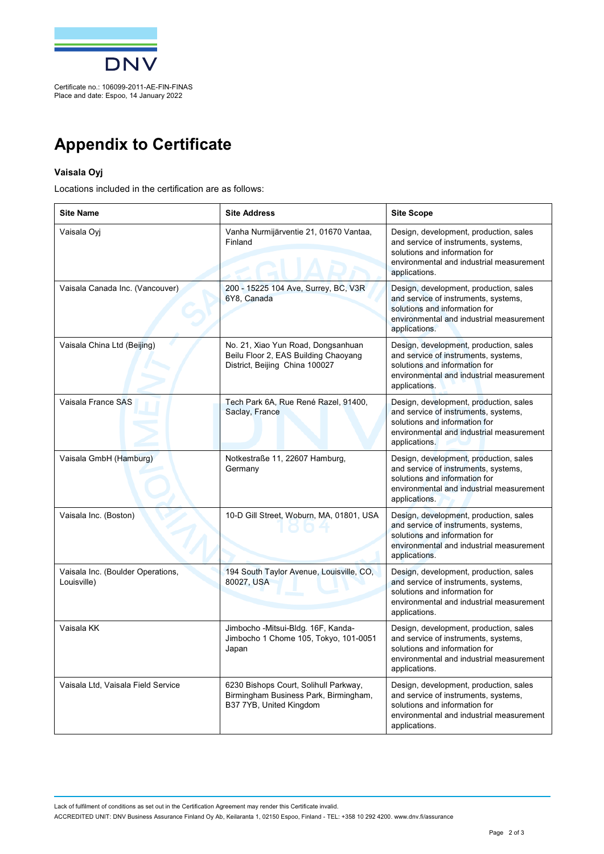

## **Appendix to Certificate**

## **Vaisala Oyj**

Locations included in the certification are as follows:

| <b>Site Name</b>                                 | <b>Site Address</b>                                                                                          | <b>Site Scope</b>                                                                                                                                                            |
|--------------------------------------------------|--------------------------------------------------------------------------------------------------------------|------------------------------------------------------------------------------------------------------------------------------------------------------------------------------|
| Vaisala Oyj                                      | Vanha Nurmijärventie 21, 01670 Vantaa,<br>Finland                                                            | Design, development, production, sales<br>and service of instruments, systems,<br>solutions and information for<br>environmental and industrial measurement<br>applications. |
| Vaisala Canada Inc. (Vancouver)                  | 200 - 15225 104 Ave, Surrey, BC, V3R<br>6Y8, Canada                                                          | Design, development, production, sales<br>and service of instruments, systems,<br>solutions and information for<br>environmental and industrial measurement<br>applications. |
| Vaisala China Ltd (Beijing)                      | No. 21, Xiao Yun Road, Dongsanhuan<br>Beilu Floor 2, EAS Building Chaoyang<br>District, Beijing China 100027 | Design, development, production, sales<br>and service of instruments, systems,<br>solutions and information for<br>environmental and industrial measurement<br>applications. |
| Vaisala France SAS                               | Tech Park 6A, Rue René Razel, 91400,<br>Saclay, France                                                       | Design, development, production, sales<br>and service of instruments, systems,<br>solutions and information for<br>environmental and industrial measurement<br>applications. |
| Vaisala GmbH (Hamburg)                           | Notkestraße 11, 22607 Hamburg,<br>Germany                                                                    | Design, development, production, sales<br>and service of instruments, systems,<br>solutions and information for<br>environmental and industrial measurement<br>applications. |
| Vaisala Inc. (Boston)                            | 10-D Gill Street, Woburn, MA, 01801, USA                                                                     | Design, development, production, sales<br>and service of instruments, systems,<br>solutions and information for<br>environmental and industrial measurement<br>applications. |
| Vaisala Inc. (Boulder Operations,<br>Louisville) | 194 South Taylor Avenue, Louisville, CO,<br>80027, USA                                                       | Design, development, production, sales<br>and service of instruments, systems,<br>solutions and information for<br>environmental and industrial measurement<br>applications. |
| Vaisala KK                                       | Jimbocho -Mitsui-Bldg. 16F, Kanda-<br>Jimbocho 1 Chome 105, Tokyo, 101-0051<br>Japan                         | Design, development, production, sales<br>and service of instruments, systems,<br>solutions and information for<br>environmental and industrial measurement<br>applications. |
| Vaisala Ltd, Vaisala Field Service               | 6230 Bishops Court, Solihull Parkway,<br>Birmingham Business Park, Birmingham,<br>B37 7YB, United Kingdom    | Design, development, production, sales<br>and service of instruments, systems,<br>solutions and information for<br>environmental and industrial measurement<br>applications. |

Lack of fulfilment of conditions as set out in the Certification Agreement may render this Certificate invalid. ACCREDITED UNIT: DNV Business Assurance Finland Oy Ab, Keilaranta 1, 02150 Espoo, Finland - TEL: +358 10 292 4200. [www.dnv.fi/assurance](http://www.dnv.fi/assurance)